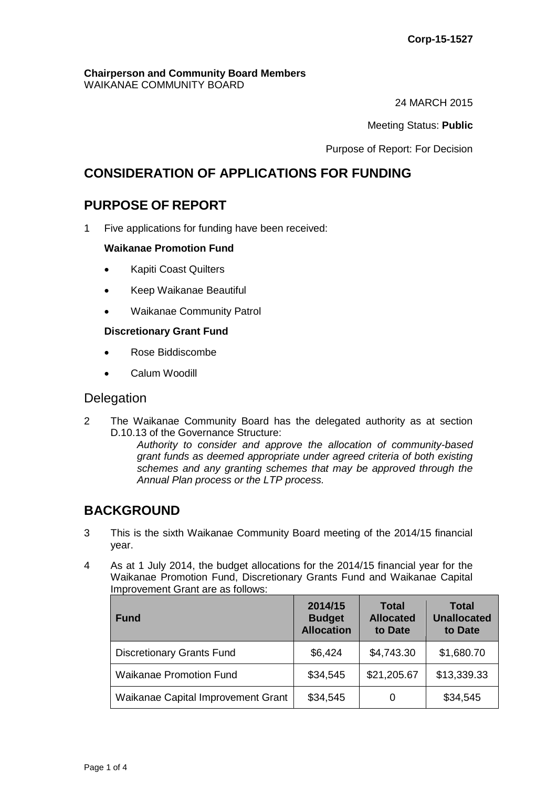#### **Chairperson and Community Board Members** WAIKANAE COMMUNITY BOARD

24 MARCH 2015

Meeting Status: **Public**

Purpose of Report: For Decision

# **CONSIDERATION OF APPLICATIONS FOR FUNDING**

# **PURPOSE OF REPORT**

1 Five applications for funding have been received:

## **Waikanae Promotion Fund**

- Kapiti Coast Quilters
- Keep Waikanae Beautiful
- Waikanae Community Patrol

## **Discretionary Grant Fund**

- Rose Biddiscombe
- Calum Woodill

# **Delegation**

2 The Waikanae Community Board has the delegated authority as at section D.10.13 of the Governance Structure:

*Authority to consider and approve the allocation of community-based grant funds as deemed appropriate under agreed criteria of both existing schemes and any granting schemes that may be approved through the Annual Plan process or the LTP process.* 

# **BACKGROUND**

- 3 This is the sixth Waikanae Community Board meeting of the 2014/15 financial year.
- 4 As at 1 July 2014, the budget allocations for the 2014/15 financial year for the Waikanae Promotion Fund, Discretionary Grants Fund and Waikanae Capital Improvement Grant are as follows:

| <b>Fund</b>                        | 2014/15<br><b>Budget</b><br><b>Allocation</b> | <b>Total</b><br><b>Allocated</b><br>to Date | <b>Total</b><br><b>Unallocated</b><br>to Date |
|------------------------------------|-----------------------------------------------|---------------------------------------------|-----------------------------------------------|
| <b>Discretionary Grants Fund</b>   | \$6,424                                       | \$4,743.30                                  | \$1,680.70                                    |
| <b>Waikanae Promotion Fund</b>     | \$34,545                                      | \$21,205.67                                 | \$13,339.33                                   |
| Waikanae Capital Improvement Grant | \$34,545                                      | O                                           | \$34,545                                      |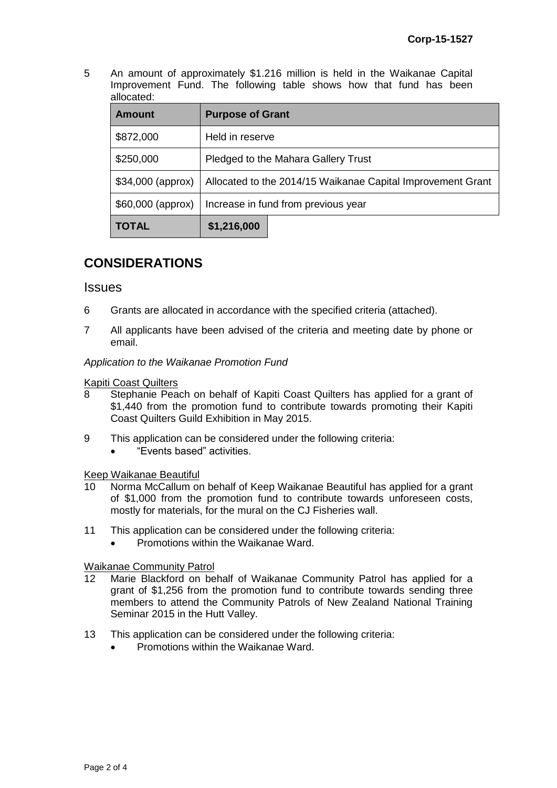5 An amount of approximately \$1.216 million is held in the Waikanae Capital Improvement Fund. The following table shows how that fund has been allocated:

| <b>Amount</b>     | <b>Purpose of Grant</b>                                     |  |  |
|-------------------|-------------------------------------------------------------|--|--|
| \$872,000         | Held in reserve                                             |  |  |
| \$250,000         | Pledged to the Mahara Gallery Trust                         |  |  |
| \$34,000 (approx) | Allocated to the 2014/15 Waikanae Capital Improvement Grant |  |  |
| \$60,000 (approx) | Increase in fund from previous year                         |  |  |
| <b>TOTAL</b>      | \$1,216,000                                                 |  |  |

# **CONSIDERATIONS**

## **Issues**

- 6 Grants are allocated in accordance with the specified criteria (attached).
- 7 All applicants have been advised of the criteria and meeting date by phone or email.

*Application to the Waikanae Promotion Fund*

# **Kapiti Coast Quilters**<br>8 Stephanie Pea

- Stephanie Peach on behalf of Kapiti Coast Quilters has applied for a grant of \$1,440 from the promotion fund to contribute towards promoting their Kapiti Coast Quilters Guild Exhibition in May 2015.
- 9 This application can be considered under the following criteria:
	- "Events based" activities.

Keep Waikanae Beautiful

- 10 Norma McCallum on behalf of Keep Waikanae Beautiful has applied for a grant of \$1,000 from the promotion fund to contribute towards unforeseen costs, mostly for materials, for the mural on the CJ Fisheries wall.
- 11 This application can be considered under the following criteria:
	- Promotions within the Waikanae Ward.

## Waikanae Community Patrol

- 12 Marie Blackford on behalf of Waikanae Community Patrol has applied for a grant of \$1,256 from the promotion fund to contribute towards sending three members to attend the Community Patrols of New Zealand National Training Seminar 2015 in the Hutt Valley.
- 13 This application can be considered under the following criteria:
	- Promotions within the Waikanae Ward.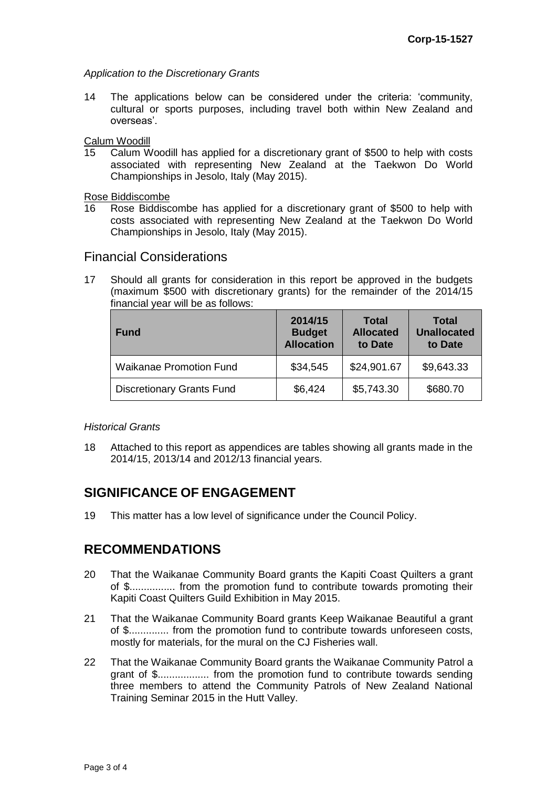*Application to the Discretionary Grants*

14 The applications below can be considered under the criteria: 'community, cultural or sports purposes, including travel both within New Zealand and overseas'.

Calum Woodill

15 Calum Woodill has applied for a discretionary grant of \$500 to help with costs associated with representing New Zealand at the Taekwon Do World Championships in Jesolo, Italy (May 2015).

Rose Biddiscombe

Rose Biddiscombe has applied for a discretionary grant of \$500 to help with costs associated with representing New Zealand at the Taekwon Do World Championships in Jesolo, Italy (May 2015).

# Financial Considerations

17 Should all grants for consideration in this report be approved in the budgets (maximum \$500 with discretionary grants) for the remainder of the 2014/15 financial year will be as follows:

| <b>Fund</b>                      | 2014/15<br><b>Budget</b><br><b>Allocation</b> | <b>Total</b><br><b>Allocated</b><br>to Date | <b>Total</b><br><b>Unallocated</b><br>to Date |
|----------------------------------|-----------------------------------------------|---------------------------------------------|-----------------------------------------------|
| <b>Waikanae Promotion Fund</b>   | \$34,545                                      | \$24,901.67                                 | \$9,643.33                                    |
| <b>Discretionary Grants Fund</b> | \$6,424                                       | \$5,743.30                                  | \$680.70                                      |

## *Historical Grants*

18 Attached to this report as appendices are tables showing all grants made in the 2014/15, 2013/14 and 2012/13 financial years.

# **SIGNIFICANCE OF ENGAGEMENT**

19 This matter has a low level of significance under the Council Policy.

# **RECOMMENDATIONS**

- 20 That the Waikanae Community Board grants the Kapiti Coast Quilters a grant of \$................ from the promotion fund to contribute towards promoting their Kapiti Coast Quilters Guild Exhibition in May 2015.
- 21 That the Waikanae Community Board grants Keep Waikanae Beautiful a grant of \$.............. from the promotion fund to contribute towards unforeseen costs, mostly for materials, for the mural on the CJ Fisheries wall.
- 22 That the Waikanae Community Board grants the Waikanae Community Patrol a grant of \$.................. from the promotion fund to contribute towards sending three members to attend the Community Patrols of New Zealand National Training Seminar 2015 in the Hutt Valley.